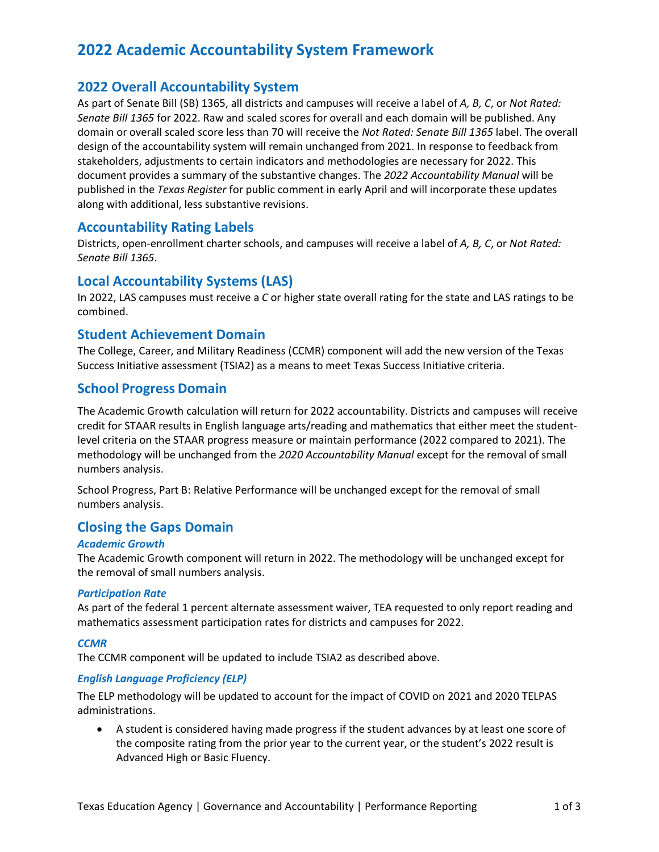# **2022 Academic Accountability System Framework**

## **2022 Overall Accountability System**

As part of Senate Bill (SB) 1365, all districts and campuses will receive a label of *A, B, C*, or *Not Rated: Senate Bill 1365* for 2022. Raw and scaled scores for overall and each domain will be published. Any domain or overall scaled score less than 70 will receive the *Not Rated: Senate Bill 1365* label. The overall design of the accountability system will remain unchanged from 2021. In response to feedback from stakeholders, adjustments to certain indicators and methodologies are necessary for 2022. This document provides a summary of the substantive changes. The *2022 Accountability Manual* will be published in the *Texas Register* for public comment in early April and will incorporate these updates along with additional, less substantive revisions.

### **Accountability Rating Labels**

Districts, open-enrollment charter schools, and campuses will receive a label of *A, B, C*, or *Not Rated: Senate Bill 1365*.

### **Local Accountability Systems (LAS)**

In 2022, LAS campuses must receive a *C* or higher state overall rating for the state and LAS ratings to be combined.

### **Student Achievement Domain**

The College, Career, and Military Readiness (CCMR) component will add the new version of the Texas Success Initiative assessment (TSIA2) as a means to meet Texas Success Initiative criteria.

## **School Progress Domain**

The Academic Growth calculation will return for 2022 accountability. Districts and campuses will receive credit for STAAR results in English language arts/reading and mathematics that either meet the studentlevel criteria on the STAAR progress measure or maintain performance (2022 compared to 2021). The methodology will be unchanged from the *2020 Accountability Manual* except for the removal of small numbers analysis.

School Progress, Part B: Relative Performance will be unchanged except for the removal of small numbers analysis.

## **Closing the Gaps Domain**

#### *Academic Growth*

The Academic Growth component will return in 2022. The methodology will be unchanged except for the removal of small numbers analysis.

#### *Participation Rate*

As part of the federal 1 percent alternate assessment waiver, TEA requested to only report reading and mathematics assessment participation rates for districts and campuses for 2022.

#### *CCMR*

The CCMR component will be updated to include TSIA2 as described above.

#### *English Language Proficiency (ELP)*

The ELP methodology will be updated to account for the impact of COVID on 2021 and 2020 TELPAS administrations.

• A student is considered having made progress if the student advances by at least one score of the composite rating from the prior year to the current year, or the student's 2022 result is Advanced High or Basic Fluency.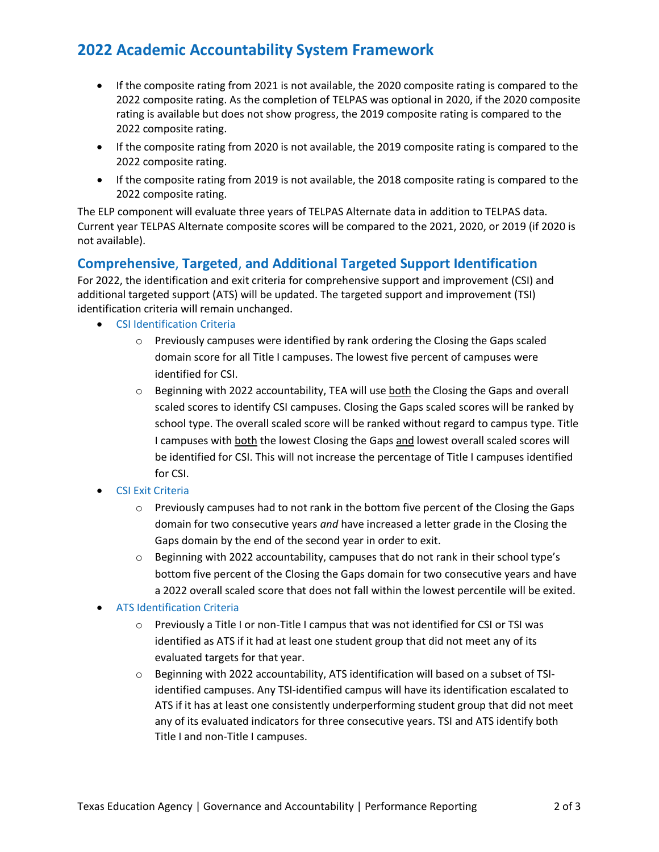# **2022 Academic Accountability System Framework**

- If the composite rating from 2021 is not available, the 2020 composite rating is compared to the 2022 composite rating. As the completion of TELPAS was optional in 2020, if the 2020 composite rating is available but does not show progress, the 2019 composite rating is compared to the 2022 composite rating.
- If the composite rating from 2020 is not available, the 2019 composite rating is compared to the 2022 composite rating.
- If the composite rating from 2019 is not available, the 2018 composite rating is compared to the 2022 composite rating.

The ELP component will evaluate three years of TELPAS Alternate data in addition to TELPAS data. Current year TELPAS Alternate composite scores will be compared to the 2021, 2020, or 2019 (if 2020 is not available).

## **Comprehensive**, **Targeted**, **and Additional Targeted Support Identification**

For 2022, the identification and exit criteria for comprehensive support and improvement (CSI) and additional targeted support (ATS) will be updated. The targeted support and improvement (TSI) identification criteria will remain unchanged.

- CSI Identification Criteria
	- $\circ$  Previously campuses were identified by rank ordering the Closing the Gaps scaled domain score for all Title I campuses. The lowest five percent of campuses were identified for CSI.
	- o Beginning with 2022 accountability, TEA will use both the Closing the Gaps and overall scaled scores to identify CSI campuses. Closing the Gaps scaled scores will be ranked by school type. The overall scaled score will be ranked without regard to campus type. Title I campuses with both the lowest Closing the Gaps and lowest overall scaled scores will be identified for CSI. This will not increase the percentage of Title I campuses identified for CSI.
- CSI Exit Criteria
	- $\circ$  Previously campuses had to not rank in the bottom five percent of the Closing the Gaps domain for two consecutive years *and* have increased a letter grade in the Closing the Gaps domain by the end of the second year in order to exit.
	- $\circ$  Beginning with 2022 accountability, campuses that do not rank in their school type's bottom five percent of the Closing the Gaps domain for two consecutive years and have a 2022 overall scaled score that does not fall within the lowest percentile will be exited.

#### • ATS Identification Criteria

- o Previously a Title I or non-Title I campus that was not identified for CSI or TSI was identified as ATS if it had at least one student group that did not meet any of its evaluated targets for that year.
- o Beginning with 2022 accountability, ATS identification will based on a subset of TSIidentified campuses. Any TSI-identified campus will have its identification escalated to ATS if it has at least one consistently underperforming student group that did not meet any of its evaluated indicators for three consecutive years. TSI and ATS identify both Title I and non-Title I campuses.